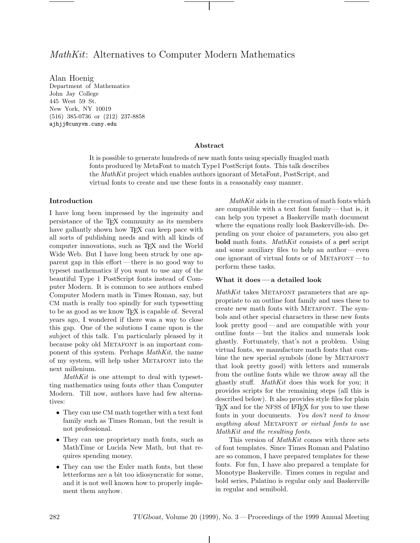Alan Hoenig Department of Mathematics 445 West 59 St. New York, NY 10019 (516) 385-0736 or (212) 237-8858 (516) 385-0736 or (212) 237-8858 ajhjj@cunyvm.cuny.edu

## **Abstract**

It is possible to generate hundreds of new math fonts using specially finagled math fonts produced by MetaFont to match Type1 PostScript fonts. This talk describes the *MathKit* project which enables authors ignorant of MetaFont, PostScript, and virtual fonts to create and use these fonts in a reasonably easy manner.

## **Introduction**

I have long been impressed by the ingenuity and persistance of the TEX community as its members have gallantly shown how T<sub>EX</sub> can keep pace with all sorts of publishing needs and with all kinds of computer innovations, such as TEX and the World Wide Web. But I have long been struck by one apparent gap in this effort— there is no good way to typeset mathematics if you want to use any of the beautiful Type 1 PostScript fonts instead of Computer Modern. It is common to see authors embed Computer Modern math in Times Roman, say, but CM math is really too spindly for such typesetting to be as good as we know T<sub>E</sub>X is capable of. Several years ago, I wondered if there was a way to close this gap. One of the solutions I came upon is the subject of this talk. I'm particularly pleased by it because poky old METAFONT is an important component of this system. Perhaps *MathKit*, the name of my system, will help usher Metafont into the next millenium.

*MathKit* is one attempt to deal with typesetting mathematics using fonts *other* than Computer Modern. Till now, authors have had few alternatives:

- They can use CM math together with a text font family such as Times Roman, but the result is not professional.
- They can use proprietary math fonts, such as MathTime or Lucida New Math, but that requires spending money.
- They can use the Euler math fonts, but these letterforms are a bit too idiosyncratic for some, and it is not well known how to properly implement them anyhow.

*MathKit* aids in the creation of math fonts which are compatible with a text font family — that is, it can help you typeset a Baskerville math document where the equations really look Baskerville-ish. Depending on your choice of parameters, you also get **bold** math fonts. *MathKit* consists of a perl script and some auxiliary files to help an author— even one ignorant of virtual fonts or of  $METAFONT$ perform these tasks.

#### **What it does— a detailed look**

*MathKit* takes METAFONT parameters that are appropriate to an outline font family and uses these to create new math fonts with Metafont. The symbols and other special characters in these new fonts look pretty good— and are compatible with your outline fonts — but the italics and numerals look ghastly. Fortunately, that's not a problem. Using virtual fonts, we manufacture math fonts that combine the new special symbols (done by METAFONT that look pretty good) with letters and numerals from the outline fonts while we throw away all the ghastly stuff. *MathKit* does this work for you; it provides scripts for the remaining steps (all this is described below). It also provides style files for plain T<sub>E</sub>X and for the NFSS of LAT<sub>E</sub>X for you to use these fonts in your documents. *You don't need to know anything about* Metafont *or virtual fonts to use MathKit and the resulting fonts.*

This version of *MathKit* comes with three sets of font templates. Since Times Roman and Palatino are so common, I have prepared templates for these fonts. For fun, I have also prepared a template for Monotype Baskerville. Times comes in regular and bold series, Palatino is regular only and Baskerville in regular and semibold.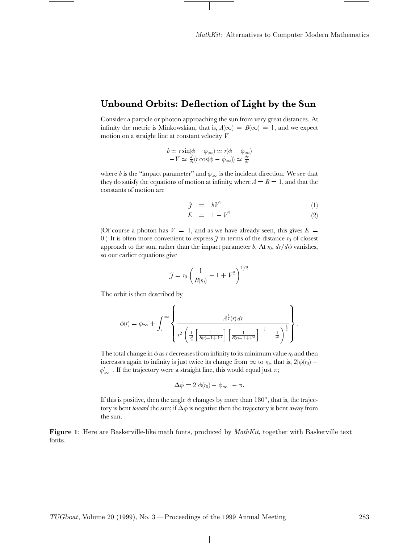# **Unbound Orbits: Deflection of Light by the Sun**

Consider a particle or photon approaching the sun from very great distances. At infinity the metric is Minkowskian, that is,  $A(\infty) = B(\infty) = 1$ , and we expect motion on a straight line at constant velocity *V*

$$
b \simeq r \sin(\phi - \phi_{\infty}) \simeq r(\phi - \phi_{\infty})
$$
  
-
$$
V \simeq \frac{d}{dt}(r \cos(\phi - \phi_{\infty})) \simeq \frac{dr}{dt}
$$

where *b* is the "impact parameter" and  $\phi_{\infty}$  is the incident direction. We see that they do satisfy the equations of motion at infinity, where  $A = B = 1$ , and that the constants of motion are

$$
\tilde{J} = bV^2 \tag{1}
$$

$$
E = 1 - V^2 \tag{2}
$$

(Of course a photon has  $V = 1$ , and as we have already seen, this gives  $E =$ 0.) It is often more convenient to express  $\tilde{\jmath}$  in terms of the distance  $r_0$  of closest approach to the sun, rather than the impact parameter *b*. At  $r_0$ ,  $dr/d\phi$  vanishes, so our earlier equations give

$$
\mathcal{J} = r_0 \left( \frac{1}{B(r_0)} - 1 + V^2 \right)^{1/2}
$$

The orbit is then described by

$$
\phi(r) = \phi_{\infty} + \int_{r}^{\infty} \left\{ \frac{A^{\frac{1}{2}}(r) dr}{r^{2} \left( \frac{1}{r_{0}^{2}} \left[ \frac{1}{B(r) - 1 + V^{2}} \right] \left[ \frac{1}{B(r) - 1 + V^{2}} \right]^{-1} - \frac{1}{r^{2}} \right)^{\frac{1}{2}} \right\}.
$$

The total change in  $\phi$  as *r* decreases from infinity to its minimum value  $r_0$  and then increases again to infinity is just twice its change from  $\infty$  to  $r_0$ , that is,  $2|\phi(r_0) \phi'_{\infty}$ . If the trajectory were a straight line, this would equal just  $\pi$ ;

$$
\Delta \phi = 2|\phi(r_0) - \phi_{\infty}| - \pi.
$$

If this is positive, then the angle  $\phi$  changes by more than  $180^\circ$  , that is, the trajectory is bent *toward* the sun; if  $\Delta\phi$  is negative then the trajectory is bent away from the sun.

**Figure 1**: Here are Baskerville-like math fonts, produced by *MathKit*, together with Baskerville text fonts.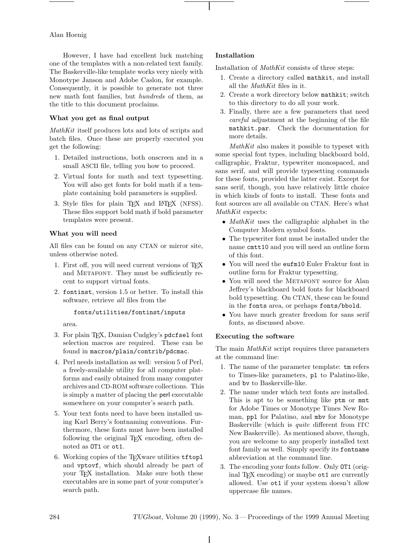# Alan Hoenig

However, I have had excellent luck matching one of the templates with a non-related text family. The Baskerville-like template works very nicely with Monotype Janson and Adobe Caslon, for example. Consequently, it is possible to generate not three new math font families, but *hundreds* of them, as the title to this document proclaims.

# **What you get as final output**

*MathKit* itself produces lots and lots of scripts and batch files. Once these are properly executed you get the following:

- 1. Detailed instructions, both onscreen and in a small ASCII file, telling you how to proceed.
- 2. Virtual fonts for math and text typesetting. You will also get fonts for bold math if a template containing bold parameters is supplied.
- 3. Style files for plain T<sub>E</sub>X and L<sup>AT</sup>E<sub>X</sub> (NFSS). These files support bold math if bold parameter templates were present.

# **What you will need**

All files can be found on any CTAN or mirror site, unless otherwise noted.

- 1. First off, you will need current versions of TEX and METAFONT. They must be sufficiently recent to support virtual fonts.
- 2. fontinst, version 1.5 or better. To install this software, retrieve *all* files from the

### fonts/utilities/fontinst/inputs

area.

- 3. For plain TEX, Damian Cudgley's pdcfsel font selection macros are required. These can be found in macros/plain/contrib/pdcmac.
- 4. Perl needs installation as well: version 5 of Perl, a freely-available utility for all computer platforms and easily obtained from many computer archives and CD-ROM software collections. This is simply a matter of placing the perl executable somewhere on your computer's search path.
- 5. Your text fonts need to have been installed using Karl Berry's fontnaming conventions. Furthermore, these fonts must have been installed following the original TEX encoding, often denoted as OT1 or ot1.
- 6. Working copies of the TEXware utilities tftopl and vptovf, which should already be part of your T<sub>E</sub>X installation. Make sure both these executables are in some part of your computer's search path.

# **Installation**

Installation of *MathKit* consists of three steps:

- 1. Create a directory called mathkit, and install all the *MathKit* files in it.
- 2. Create a work directory below mathkit; switch to this directory to do all your work.
- 3. Finally, there are a few parameters that need *careful* adjustment at the beginning of the file mathkit.par. Check the documentation for more details.

*MathKit* also makes it possible to typeset with some special font types, including blackboard bold, calligraphic, Fraktur, typewriter monospaced, and sans serif, and will provide typesetting commands for these fonts, provided the latter exist. Except for sans serif, though, you have relatively little choice in which kinds of fonts to install. These fonts and font sources are all available on CTAN. Here's what *MathKit* expects:

- *MathKit* uses the calligraphic alphabet in the Computer Modern symbol fonts.
- The typewriter font must be installed under the name cmtt10 and you will need an outline form of this font.
- You will need the eufm10 Euler Fraktur font in outline form for Fraktur typesetting.
- You will need the METAFONT source for Alan Jeffrey's blackboard bold fonts for blackboard bold typesetting. On CTAN, these can be found in the fonts area, or perhaps fonts/bbold.
- You have much greater freedom for sans serif fonts, as discussed above.

### **Executing the software**

The main *MathKit* script requires three parameters at the command line:

- 1. The name of the parameter template: tm refers to Times-like parameters, pl to Palatino-like, and bv to Baskerville-like.
- 2. The name under which text fonts are installed. This is apt to be something like ptm or mnt for Adobe Times or Monotype Times New Roman, ppl for Palatino, and mbv for Monotype Baskerville (which is *quite* different from ITC New Baskerville). As mentioned above, though, you are welcome to any properly installed text font family as well. Simply specify its fontname abbreviation at the command line.
- 3. The encoding your fonts follow. Only OT1 (original TEX encoding) or maybe ot1 are currently allowed. Use ot1 if your system doesn't allow uppercase file names.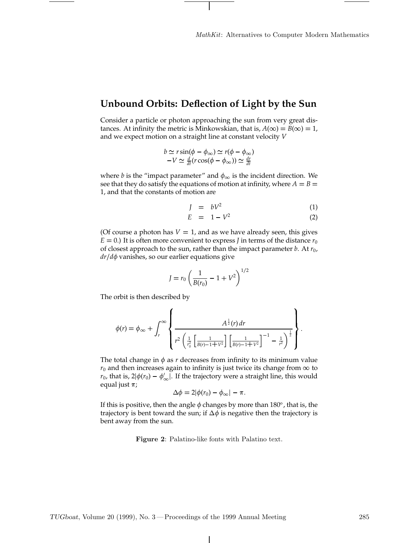# **Unbound Orbits: Deflection of Light by the Sun**

Consider a particle or photon approaching the sun from very great distances. At infinity the metric is Minkowskian, that is,  $A(\infty) = B(\infty) = 1$ , and we expect motion on a straight line at constant velocity *V*

$$
b \simeq r \sin(\phi - \phi_{\infty}) \simeq r(\phi - \phi_{\infty})
$$
  
-V \simeq  $\frac{d}{dt}(r \cos(\phi - \phi_{\infty})) \simeq \frac{dr}{dt}$ 

where *b* is the "impact parameter" and  $\phi_{\infty}$  is the incident direction. We see that they do satisfy the equations of motion at infinity, where  $A = B =$ 1, and that the constants of motion are

$$
J = bV^2 \tag{1}
$$

$$
E = 1 - V^2 \tag{2}
$$

(Of course a photon has  $V = 1$ , and as we have already seen, this gives  $E = 0$ .) It is often more convenient to express *J* in terms of the distance  $r_0$ of closest approach to the sun, rather than the impact parameter *b*. At *r*0, *dr*/*d*φ vanishes, so our earlier equations give

$$
J = r_0 \left(\frac{1}{B(r_0)} - 1 + V^2\right)^{1/2}
$$

The orbit is then described by

$$
\phi(r) = \phi_{\infty} + \int_{r}^{\infty} \left\{ \frac{A^{\frac{1}{2}}(r) dr}{r^{2} \left( \frac{1}{r_{0}^{2}} \left[ \frac{1}{B(r)-1+V^{2}} \right] \left[ \frac{1}{B(r)-1+V^{2}} \right]^{-1} - \frac{1}{r^{2}} \right)^{\frac{1}{2}} \right\}.
$$

The total change in  $\phi$  as *r* decreases from infinity to its minimum value  $r_0$  and then increases again to infinity is just twice its change from  $\infty$  to  $r_0$ , that is,  $2|\phi(r_0) - \phi'_{\infty}|$ . If the trajectory were a straight line, this would equal just  $\pi$ ;

$$
\Delta \phi = 2|\phi(r_0) - \phi_{\infty}| - \pi.
$$

If this is positive, then the angle  $\phi$  changes by more than 180°, that is, the trajectory is bent toward the sun; if  $\Delta \phi$  is negative then the trajectory is bent away from the sun.

**Figure 2**: Palatino-like fonts with Palatino text.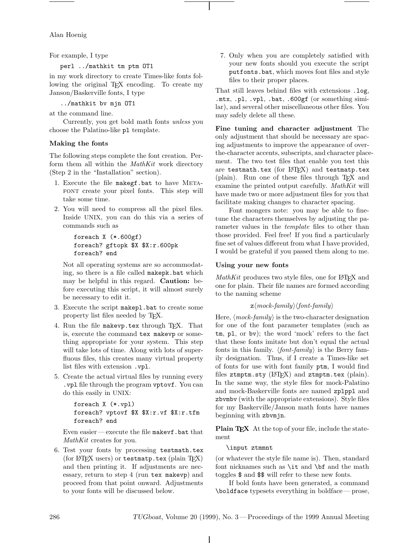Alan Hoenig

For example, I type

perl ../mathkit tm ptm OT1

in my work directory to create Times-like fonts following the original T<sub>F</sub>X encoding. To create my Janson/Baskerville fonts, I type

../mathkit bv mjn OT1

at the command line.

Currently, you get bold math fonts *unless* you choose the Palatino-like pl template.

# **Making the fonts**

The following steps complete the font creation. Perform them all within the *MathKit* work directory (Step 2 in the "Installation" section).

- 1. Execute the file makegf.bat to have META-FONT create your pixel fonts. This step will take some time.
- 2. You will need to compress all the pixel files. Inside UNIX, you can do this via a series of commands such as

```
foreach X (*.600gf)
foreach? gftopk $X $X:r.600pk
foreach? end
```
Not all operating systems are so accommodating, so there is a file called makepk.bat which may be helpful in this regard. **Caution:** before executing this script, it will almost surely be necessary to edit it.

- 3. Execute the script makepl.bat to create some property list files needed by TEX.
- 4. Run the file makevp.tex through TFX. That is, execute the command tex makevp or something appropriate for your system. This step will take lots of time. Along with lots of superfluous files, this creates many virtual property list files with extension .vpl.
- 5. Create the actual virtual files by running every .vpl file through the program vptovf. You can do this easily in UNIX:

```
foreach X (*.vpl)
foreach? vptovf $X $X:r.vf $X:r.tfm
foreach? end
```
Even easier— execute the file makevf.bat that *MathKit* creates for you.

6. Test your fonts by processing testmath.tex (for LATEX users) or testmatp.tex (plain TEX) and then printing it. If adjustments are necessary, return to step 4 (run tex makevp) and proceed from that point onward. Adjustments to your fonts will be discussed below.

7. Only when you are completely satisfied with your new fonts should you execute the script putfonts.bat, which moves font files and style files to their proper places.

That still leaves behind files with extensions .log, .mtx, .pl, .vpl, .bat, .600gf (or something similar), and several other miscellaneous other files. You may safely delete all these.

**Fine tuning and character adjustment** The only adjustment that should be necessary are spacing adjustments to improve the appearance of overthe-character accents, subscripts, and character placement. The two test files that enable you test this are testmath.tex (for  $L^2$ F $\overline{K}$ ) and testmatp.tex (plain). Run one of these files through TEX and examine the printed output carefully. *MathKit* will have made two or more adjustment files for you that facilitate making changes to character spacing.

Font mongers note: you may be able to finetune the characters themselves by adjusting the parameter values in the *template* files to other than those provided. Feel free! If you find a particularly fine set of values different from what I have provided, I would be grateful if you passed them along to me.

# **Using your new fonts**

*MathKit* produces two style files, one for LATEX and one for plain. Their file names are formed according to the naming scheme

 $z \langle mock-family \rangle \langle font-family \rangle$ 

Here,  $\langle mock-family\rangle$  is the two-character designation for one of the font parameter templates (such as tm, pl, or bv); the word 'mock' refers to the fact that these fonts imitate but don't equal the actual fonts in this family.  $\langle font-family\rangle$  is the Berry family designation. Thus, if I create a Times-like set of fonts for use with font family ptm, I would find files ztmptm.sty (IATEX) and ztmptm.tex (plain). In the same way, the style files for mock-Palatino and mock-Baskerville fonts are named zplppl and zbvmbv (with the appropriate extensions). Style files for my Baskerville/Janson math fonts have names beginning with zbvmjn.

**Plain TEX** At the top of your file, include the statement

### \input ztmmnt

(or whatever the style file name is). Then, standard font nicknames such as \it and \bf and the math toggles \$ and \$\$ will refer to these new fonts.

If bold fonts have been generated, a command \boldface typesets everything in boldface — prose,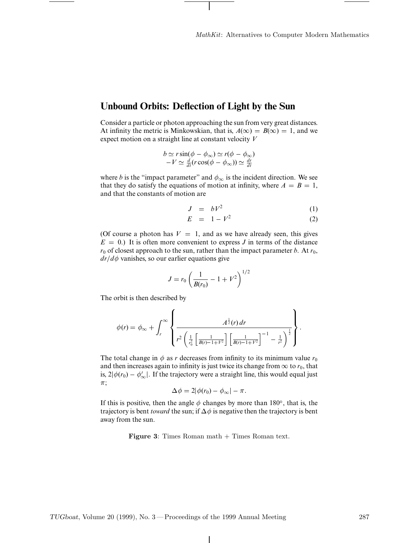# **Unbound Orbits: Deflection of Light by the Sun**

Consider a particle or photon approaching the sun from very great distances. At infinity the metric is Minkowskian, that is,  $A(\infty) = B(\infty) = 1$ , and we expect motion on a straight line at constant velocity *V*

$$
b \simeq r \sin(\phi - \phi_{\infty}) \simeq r(\phi - \phi_{\infty})
$$
  
-V \simeq  $\frac{d}{dt}$  (r cos( $\phi - \phi_{\infty}$ )) \simeq  $\frac{dr}{dt}$ 

where *b* is the "impact parameter" and  $\phi_{\infty}$  is the incident direction. We see that they do satisfy the equations of motion at infinity, where  $A = B = 1$ , and that the constants of motion are

$$
J = bV^2 \tag{1}
$$

$$
E = 1 - V^2 \tag{2}
$$

(Of course a photon has  $V = 1$ , and as we have already seen, this gives  $E = 0$ .) It is often more convenient to express *J* in terms of the distance  $r_0$  of closest approach to the sun, rather than the impact parameter *b*. At  $r_0$ ,  $dr/d\phi$  vanishes, so our earlier equations give

$$
J = r_0 \left( \frac{1}{B(r_0)} - 1 + V^2 \right)^{1/2}
$$

The orbit is then described by

$$
\phi(r) = \phi_{\infty} + \int_{r}^{\infty} \left\{ \frac{A^{\frac{1}{2}}(r) dr}{r^{2} \left( \frac{1}{r_{0}^{2}} \left[ \frac{1}{B(r) - 1 + V^{2}} \right] \left[ \frac{1}{B(r) - 1 + V^{2}} \right]^{-1} - \frac{1}{r^{2}} \right)^{\frac{1}{2}}} \right\}.
$$

The total change in  $\phi$  as *r* decreases from infinity to its minimum value  $r_0$ and then increases again to infinity is just twice its change from  $\infty$  to  $r_0$ , that is,  $2|\phi(r_0) - \phi'_{\infty}|$ . If the trajectory were a straight line, this would equal just  $\pi$ ;

$$
\Delta \phi = 2|\phi(r_0) - \phi_{\infty}| - \pi.
$$

If this is positive, then the angle  $\phi$  changes by more than 180 $^{\circ}$ , that is, the trajectory is bent *toward* the sun; if  $\Delta \phi$  is negative then the trajectory is bent away from the sun.

## **Figure 3**: Times Roman math + Times Roman text.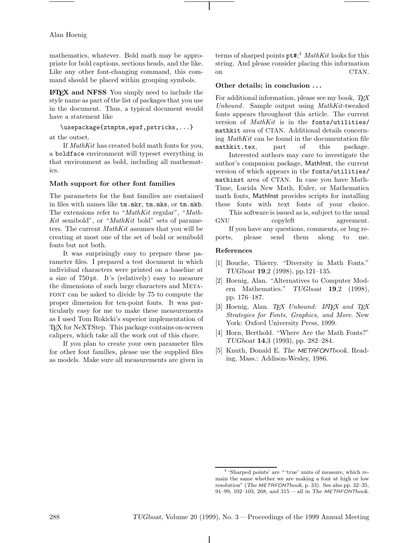# Alan Hoenig

mathematics, whatever. Bold math may be appropriate for bold captions, sections heads, and the like. Like any other font-changing command, this command should be placed within grouping symbols.

**LAPEX** and **NFSS** You simply need to include the style name as part of the list of packages that you use in the document. Thus, a typical document would have a statement like

\usepackage{ztmptm,epsf,pstricks,...}

at the outset.

If *MathKit* has created bold math fonts for you, a boldface environment will typeset everything in that environment as bold, including all mathematics.

# **Math support for other font families**

The parameters for the font families are contained in files with names like tm.mkr, tm.mks, or tm.mkb. The extensions refer to "*MathKit* regular", "*Math-Kit* semibold", or "*MathKit* bold" sets of parameters. The current *MathKit* assumes that you will be creating at most one of the set of bold or semibold fonts but not both.

It was surprisingly easy to prepare these parameter files. I prepared a test document in which individual characters were printed on a baseline at a size of 750 pt. It's (relatively) easy to measure the dimensions of such large characters and Metafont can be asked to divide by 75 to compute the proper dimension for ten-point fonts. It was particularly easy for me to make these measurements as I used Tom Rokicki's superior implementation of TEX for NeXTStep. This package contains on-screen calipers, which take all the work out of this chore.

If you plan to create your own parameter files for other font families, please use the supplied files as models. Make sure all measurements are given in

terms of sharped points pt#; <sup>1</sup> *MathKit* looks for this string. And please consider placing this information on CTAN.

# **Other details; in conclusion . . .**

For additional information, please see my book, *TEX Unbound*. Sample output using *MathKit*-tweaked fonts appears throughout this article. The current version of *MathKit* is in the fonts/utilities/ mathkit area of CTAN. Additional details concerning *MathKit* can be found in the documentation file mathkit.tex, part of this package.

Interested authors may care to investigate the author's companion package, MathInst, the current version of which appears in the fonts/utilities/ mathinst area of CTAN. In case you have Math-Time, Lucida New Math, Euler, or Mathematica math fonts, MathInst provides scripts for installing these fonts with text fonts of your choice.

This software is issued as is, subject to the usual GNU copyleft agreement.<br>If you have any questions, comments, or bug re-

ports, please send them along to me.

# **References**

- [1] Bouche, Thierry. "Diversity in Math Fonts." TUGboat **19**,2 (1998), pp.121–135.
- [2] Hoenig, Alan. "Alternatives to Computer Modern Mathematics." TUGboat **19**,2 (1998), pp. 176–187.
- [3] Hoenig, Alan. *TEX Unbound: L*A*TEX and TEX Strategies for Fonts, Graphics, and More*. New York: Oxford University Press, 1999.
- [4] Horn, Berthold. "Where Are the Math Fonts?" TUGboat **14**,3 (1993), pp. 282–284.
- [5] Knuth, Donald E. The METAFONTbook. Reading, Mass.: Addison-Wesley, 1986.

<sup>1</sup> 'Sharped points' are " 'true' units of measure, which remain the same whether we are making a font at high or low resolution" (The METAFONTbook, p. 33). See also pp. 32–35, 91–99, 102–103, 268, and 315 — all in The METAFONTbook.